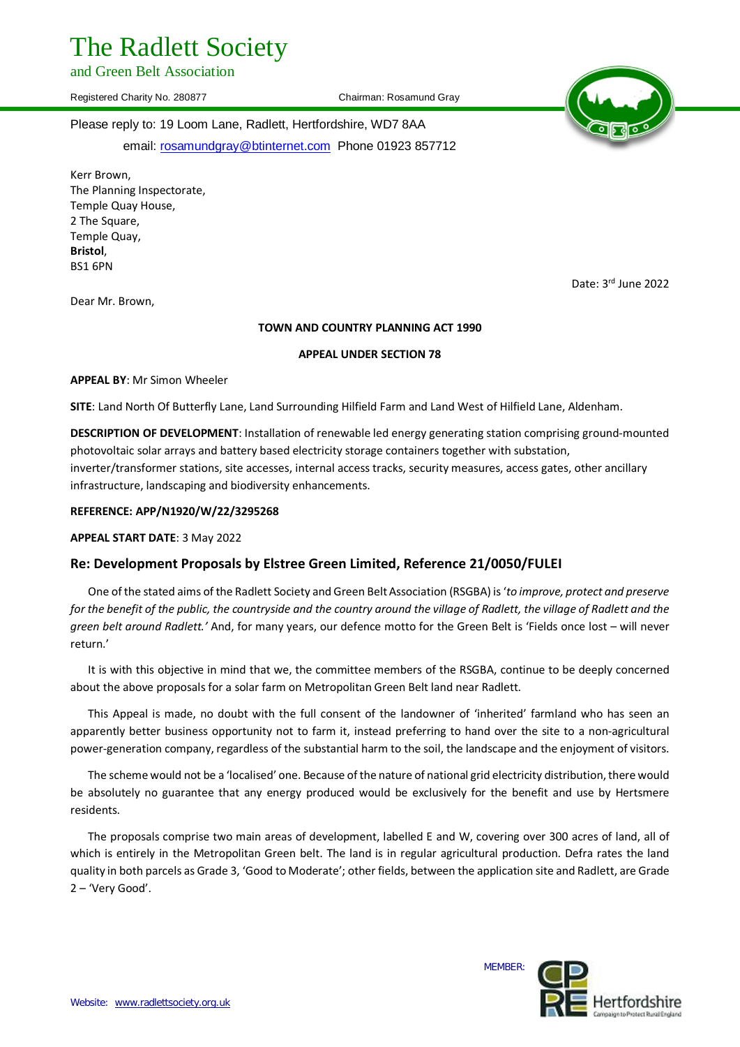# The Radlett Society

and Green Belt Association

Registered Charity No. 280877 Chairman: Rosamund Gray



Date: 3rd June 2022

Please reply to: 19 Loom Lane, Radlett, Hertfordshire, WD7 8AA

email: rosamundgray@btinternet.com Phone 01923 857712

Kerr Brown, The Planning Inspectorate, Temple Quay House, 2 The Square, Temple Quay, **Bristol**, BS1 6PN

Dear Mr. Brown,

#### **TOWN AND COUNTRY PLANNING ACT 1990**

# **APPEAL UNDER SECTION 78**

**APPEAL BY**: Mr Simon Wheeler

**SITE**: Land North Of Butterfly Lane, Land Surrounding Hilfield Farm and Land West of Hilfield Lane, Aldenham.

**DESCRIPTION OF DEVELOPMENT**: Installation of renewable led energy generating station comprising ground-mounted photovoltaic solar arrays and battery based electricity storage containers together with substation, inverter/transformer stations, site accesses, internal access tracks, security measures, access gates, other ancillary infrastructure, landscaping and biodiversity enhancements.

# **REFERENCE: APP/N1920/W/22/3295268**

**APPEAL START DATE**: 3 May 2022

# **Re: Development Proposals by Elstree Green Limited, Reference 21/0050/FULEI**

One of the stated aims of the Radlett Society and Green Belt Association (RSGBA) is '*to improve, protect and preserve for the benefit of the public, the countryside and the country around the village of Radlett, the village of Radlett and the green belt around Radlett.'* And, for many years, our defence motto for the Green Belt is 'Fields once lost – will never return.'

It is with this objective in mind that we, the committee members of the RSGBA, continue to be deeply concerned about the above proposals for a solar farm on Metropolitan Green Belt land near Radlett.

This Appeal is made, no doubt with the full consent of the landowner of 'inherited' farmland who has seen an apparently better business opportunity not to farm it, instead preferring to hand over the site to a non-agricultural power-generation company, regardless of the substantial harm to the soil, the landscape and the enjoyment of visitors.

The scheme would not be a 'localised' one. Because of the nature of national grid electricity distribution, there would be absolutely no guarantee that any energy produced would be exclusively for the benefit and use by Hertsmere residents.

The proposals comprise two main areas of development, labelled E and W, covering over 300 acres of land, all of which is entirely in the Metropolitan Green belt. The land is in regular agricultural production. Defra rates the land quality in both parcels as Grade 3, 'Good to Moderate'; other fields, between the application site and Radlett, are Grade 2 – 'Very Good'.

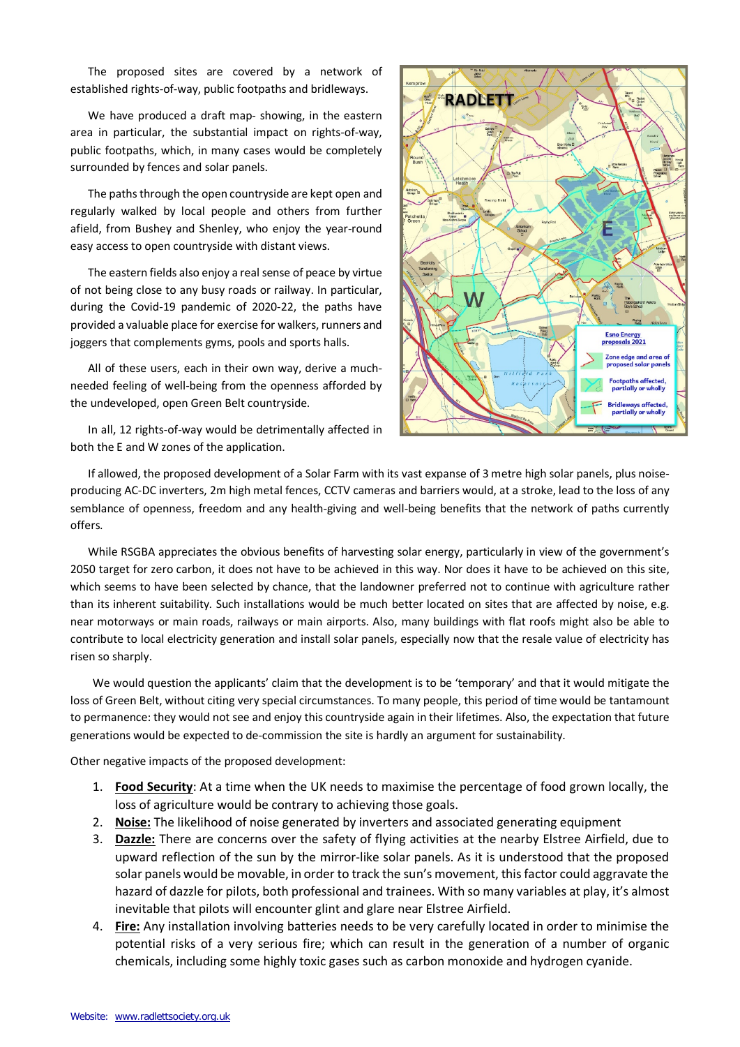The proposed sites are covered by a network of established rights-of-way, public footpaths and bridleways.

We have produced a draft map- showing, in the eastern area in particular, the substantial impact on rights-of-way, public footpaths, which, in many cases would be completely surrounded by fences and solar panels.

The paths through the open countryside are kept open and regularly walked by local people and others from further afield, from Bushey and Shenley, who enjoy the year-round easy access to open countryside with distant views.

The eastern fields also enjoy a real sense of peace by virtue of not being close to any busy roads or railway. In particular, during the Covid-19 pandemic of 2020-22, the paths have provided a valuable place for exercise for walkers, runners and joggers that complements gyms, pools and sports halls.

All of these users, each in their own way, derive a muchneeded feeling of well-being from the openness afforded by the undeveloped, open Green Belt countryside.

In all, 12 rights-of-way would be detrimentally affected in both the E and W zones of the application.



If allowed, the proposed development of a Solar Farm with its vast expanse of 3 metre high solar panels, plus noiseproducing AC-DC inverters, 2m high metal fences, CCTV cameras and barriers would, at a stroke, lead to the loss of any semblance of openness, freedom and any health-giving and well-being benefits that the network of paths currently offers.

While RSGBA appreciates the obvious benefits of harvesting solar energy, particularly in view of the government's 2050 target for zero carbon, it does not have to be achieved in this way. Nor does it have to be achieved on this site, which seems to have been selected by chance, that the landowner preferred not to continue with agriculture rather than its inherent suitability. Such installations would be much better located on sites that are affected by noise, e.g. near motorways or main roads, railways or main airports. Also, many buildings with flat roofs might also be able to contribute to local electricity generation and install solar panels, especially now that the resale value of electricity has risen so sharply.

We would question the applicants' claim that the development is to be 'temporary' and that it would mitigate the loss of Green Belt, without citing very special circumstances. To many people, this period of time would be tantamount to permanence: they would not see and enjoy this countryside again in their lifetimes. Also, the expectation that future generations would be expected to de-commission the site is hardly an argument for sustainability.

Other negative impacts of the proposed development:

- 1. **Food Security**: At a time when the UK needs to maximise the percentage of food grown locally, the loss of agriculture would be contrary to achieving those goals.
- 2. **Noise:** The likelihood of noise generated by inverters and associated generating equipment
- 3. **Dazzle:** There are concerns over the safety of flying activities at the nearby Elstree Airfield, due to upward reflection of the sun by the mirror-like solar panels. As it is understood that the proposed solar panels would be movable, in order to track the sun's movement, this factor could aggravate the hazard of dazzle for pilots, both professional and trainees. With so many variables at play, it's almost inevitable that pilots will encounter glint and glare near Elstree Airfield.
- 4. **Fire:** Any installation involving batteries needs to be very carefully located in order to minimise the potential risks of a very serious fire; which can result in the generation of a number of organic chemicals, including some highly toxic gases such as carbon monoxide and hydrogen cyanide.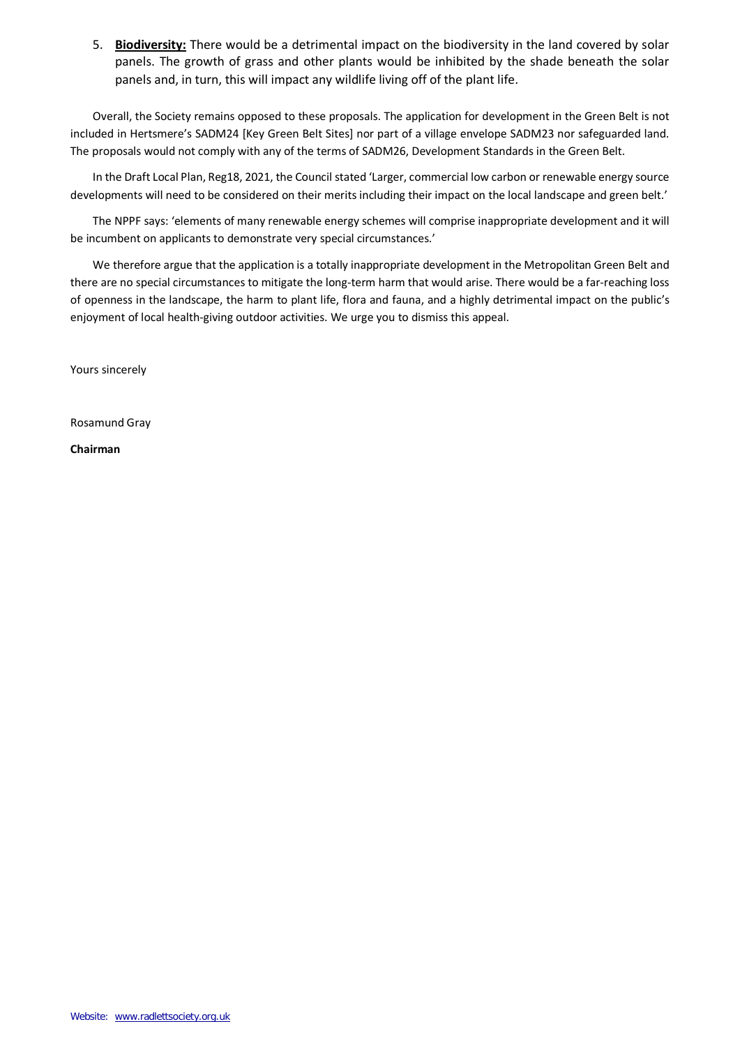5. **Biodiversity:** There would be a detrimental impact on the biodiversity in the land covered by solar panels. The growth of grass and other plants would be inhibited by the shade beneath the solar panels and, in turn, this will impact any wildlife living off of the plant life.

Overall, the Society remains opposed to these proposals. The application for development in the Green Belt is not included in Hertsmere's SADM24 [Key Green Belt Sites] nor part of a village envelope SADM23 nor safeguarded land. The proposals would not comply with any of the terms of SADM26, Development Standards in the Green Belt.

In the Draft Local Plan, Reg18, 2021, the Council stated 'Larger, commercial low carbon or renewable energy source developments will need to be considered on their merits including their impact on the local landscape and green belt.'

The NPPF says: 'elements of many renewable energy schemes will comprise inappropriate development and it will be incumbent on applicants to demonstrate very special circumstances.'

We therefore argue that the application is a totally inappropriate development in the Metropolitan Green Belt and there are no special circumstances to mitigate the long-term harm that would arise. There would be a far-reaching loss of openness in the landscape, the harm to plant life, flora and fauna, and a highly detrimental impact on the public's enjoyment of local health-giving outdoor activities. We urge you to dismiss this appeal.

Yours sincerely

Rosamund Gray

**Chairman**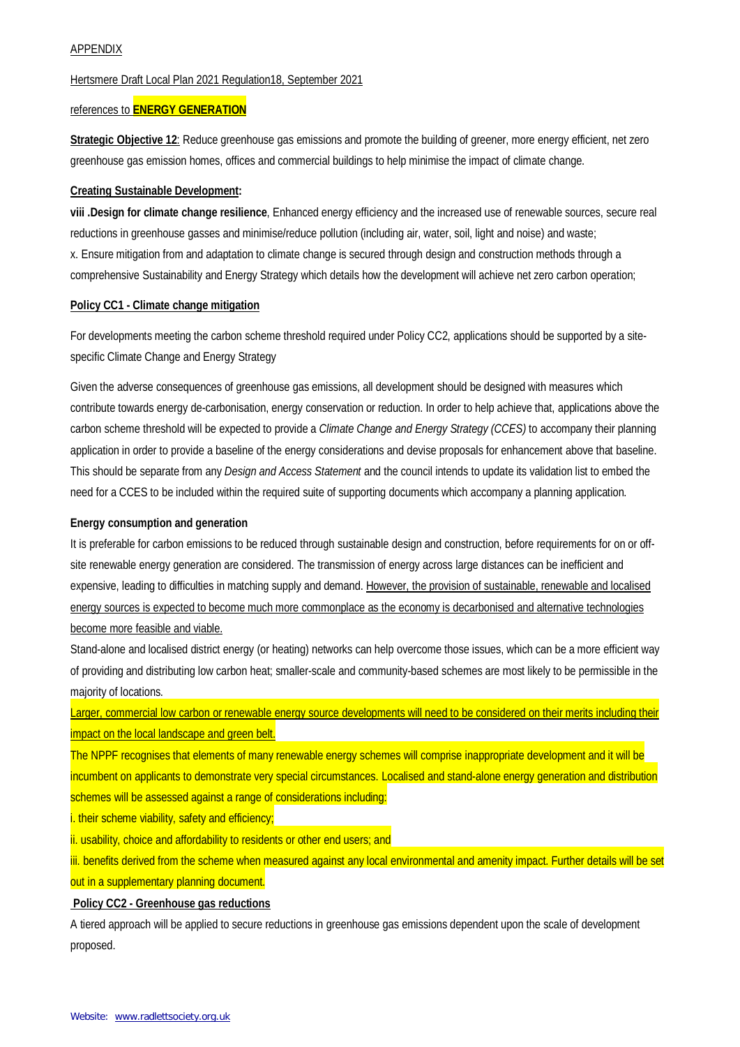# APPENDIX

#### Hertsmere Draft Local Plan 2021 Regulation18, September 2021

#### references to **ENERGY GENERATION**

**Strategic Objective 12**: Reduce greenhouse gas emissions and promote the building of greener, more energy efficient, net zero greenhouse gas emission homes, offices and commercial buildings to help minimise the impact of climate change.

#### **Creating Sustainable Development:**

**viii .Design for climate change resilience**, Enhanced energy efficiency and the increased use of renewable sources, secure real reductions in greenhouse gasses and minimise/reduce pollution (including air, water, soil, light and noise) and waste; x. Ensure mitigation from and adaptation to climate change is secured through design and construction methods through a comprehensive Sustainability and Energy Strategy which details how the development will achieve net zero carbon operation;

#### **Policy CC1 - Climate change mitigation**

For developments meeting the carbon scheme threshold required under Policy CC2, applications should be supported by a sitespecific Climate Change and Energy Strategy

Given the adverse consequences of greenhouse gas emissions, all development should be designed with measures which contribute towards energy de-carbonisation, energy conservation or reduction. In order to help achieve that, applications above the carbon scheme threshold will be expected to provide a *Climate Change and Energy Strategy (CCES)* to accompany their planning application in order to provide a baseline of the energy considerations and devise proposals for enhancement above that baseline. This should be separate from any *Design and Access Statement* and the council intends to update its validation list to embed the need for a CCES to be included within the required suite of supporting documents which accompany a planning application.

#### **Energy consumption and generation**

It is preferable for carbon emissions to be reduced through sustainable design and construction, before requirements for on or offsite renewable energy generation are considered. The transmission of energy across large distances can be inefficient and expensive, leading to difficulties in matching supply and demand. However, the provision of sustainable, renewable and localised energy sources is expected to become much more commonplace as the economy is decarbonised and alternative technologies become more feasible and viable.

Stand-alone and localised district energy (or heating) networks can help overcome those issues, which can be a more efficient way of providing and distributing low carbon heat; smaller-scale and community-based schemes are most likely to be permissible in the majority of locations.

Larger, commercial low carbon or renewable energy source developments will need to be considered on their merits including their impact on the local landscape and green belt.

The NPPF recognises that elements of many renewable energy schemes will comprise inappropriate development and it will be incumbent on applicants to demonstrate very special circumstances. Localised and stand-alone energy generation and distribution schemes will be assessed against a range of considerations including:

i. their scheme viability, safety and efficiency;

ii. usability, choice and affordability to residents or other end users; and

iii. benefits derived from the scheme when measured against any local environmental and amenity impact. Further details will be set out in a supplementary planning document.

#### **Policy CC2 - Greenhouse gas reductions**

A tiered approach will be applied to secure reductions in greenhouse gas emissions dependent upon the scale of development proposed.